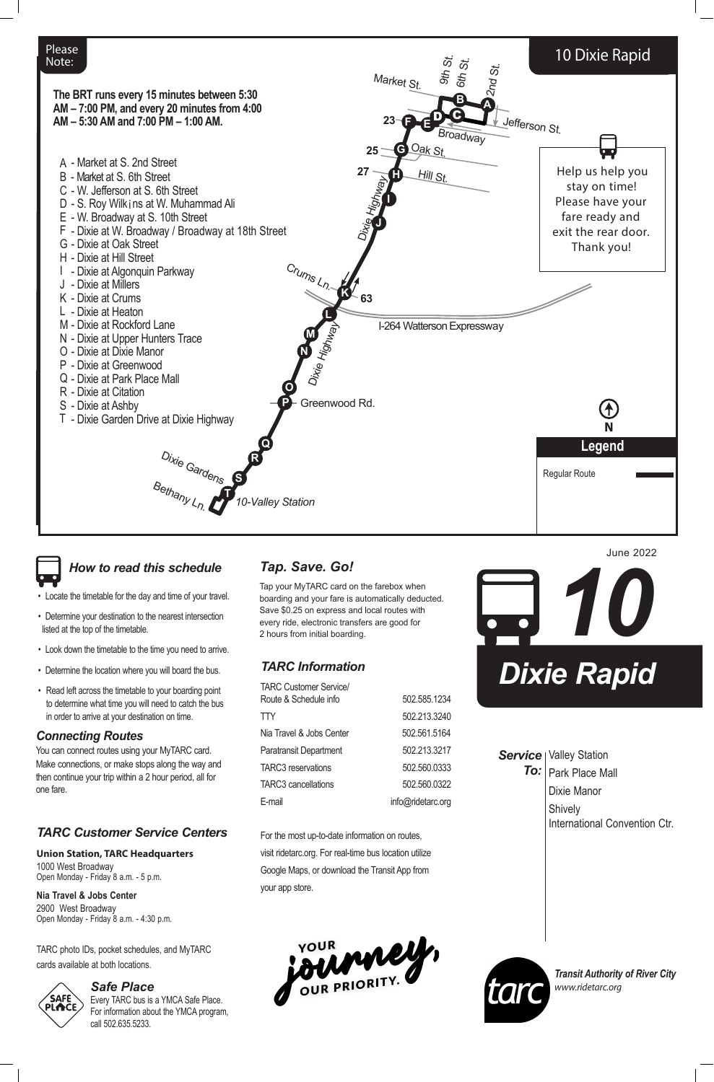

Dixie Manor

**Shively** 

#### **Service** | Valley Station Park Place Mall *To:*

International Convention Ctr.

*Transit Authority of River City www.ridetarc.org*

| <b>TARC Customer Service/</b> |              |
|-------------------------------|--------------|
| Route & Schedule info         | 502.585.1234 |
| <b>TTY</b>                    | 502.213.3240 |
| Nia Travel & Jobs Center      | 502.561.5164 |
| <b>Paratransit Department</b> | 502.213.3217 |
| <b>TARC3</b> reservations     | 502.560.0333 |

TARC3 cancellations 502.560.0322

E-mail info@ridetarc.org

For the most up-to-date information on routes, visit ridetarc.org. For real-time bus location utilize Google Maps, or download the Transit App from your app store.

YOUR MANUS



# *TARC Information*

# *Tap. Save. Go!*

Tap your MyTARC card on the farebox when boarding and your fare is automatically deducted. Save \$0.25 on express and local routes with every ride, electronic transfers are good for 2 hours from initial boarding.

*Safe Place* Every TARC bus is a YMCA Safe Place. For information about the YMCA program, call 502.635.5233.



- Locate the timetable for the day and time of your travel.
- Determine your destination to the nearest intersection listed at the top of the timetable.
- Look down the timetable to the time you need to arrive.
- Determine the location where you will board the bus.
- Read left across the timetable to your boarding point to determine what time you will need to catch the bus in order to arrive at your destination on time.

#### *Connecting Routes*

You can connect routes using your MyTARC card. Make connections, or make stops along the way and

then continue your trip within a 2 hour period, all for one fare.

# *How to read this schedule*

#### *TARC Customer Service Centers*

**Union Station, TARC Headquarters**

1000 West Broadway Open Monday - Friday 8 a.m. - 5 p.m.

**Nia Travel & Jobs Center** 2900 West Broadway Open Monday - Friday 8 a.m. - 4:30 p.m.

TARC photo IDs, pocket schedules, and MyTARC cards available at both locations.